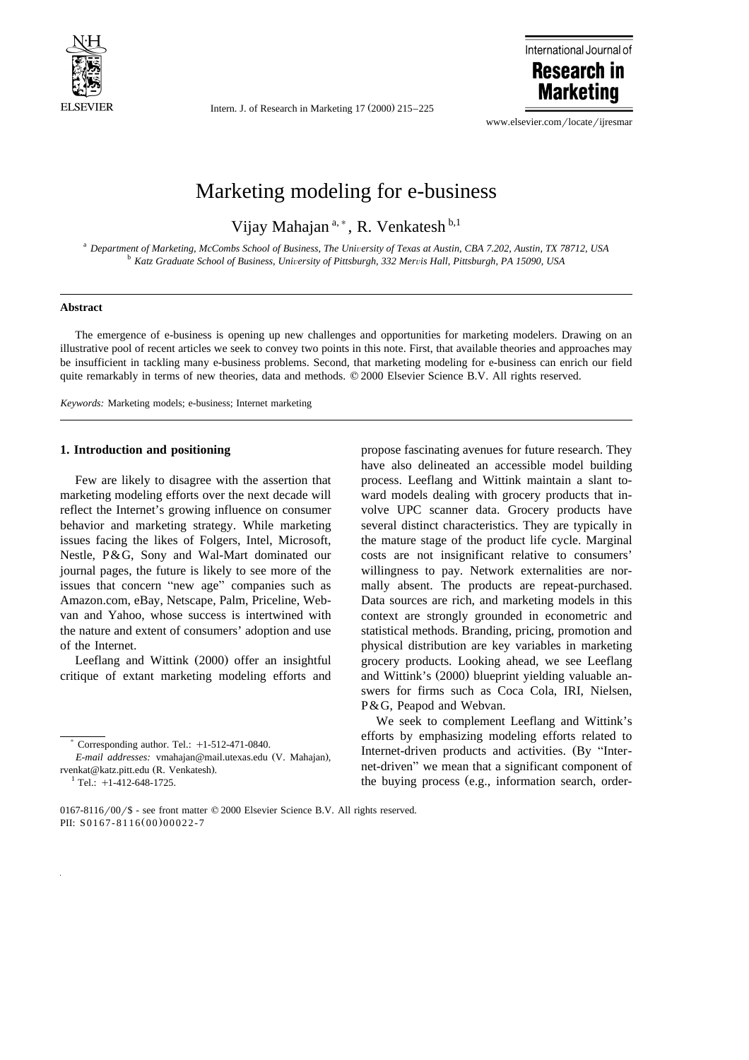

Intern. J. of Research in Marketing  $17 (2000) 215-225$ 



www.elsevier.com/locate/ijresmar

## Marketing modeling for e-business

Vijay Mahajan<sup>a,\*</sup>, R. Venkatesh b,1

<sup>a</sup> Department of Marketing, McCombs School of Business, The University of Texas at Austin, CBA 7.202, Austin, TX 78712, USA<br><sup>b</sup> Katz Graduate School of Business, University of Pittsburgh, 332 Mervis Hall, Pittsburgh, PA 1

## **Abstract**

The emergence of e-business is opening up new challenges and opportunities for marketing modelers. Drawing on an illustrative pool of recent articles we seek to convey two points in this note. First, that available theories and approaches may be insufficient in tackling many e-business problems. Second, that marketing modeling for e-business can enrich our field quite remarkably in terms of new theories, data and methods.  $\heartsuit$  2000 Elsevier Science B.V. All rights reserved.

*Keywords:* Marketing models; e-business; Internet marketing

## **1. Introduction and positioning**

Few are likely to disagree with the assertion that marketing modeling efforts over the next decade will reflect the Internet's growing influence on consumer behavior and marketing strategy. While marketing issues facing the likes of Folgers, Intel, Microsoft, Nestle, P&G, Sony and Wal-Mart dominated our journal pages, the future is likely to see more of the issues that concern "new age" companies such as Amazon.com, eBay, Netscape, Palm, Priceline, Webvan and Yahoo, whose success is intertwined with the nature and extent of consumers' adoption and use of the Internet.

Leeflang and Wittink (2000) offer an insightful critique of extant marketing modeling efforts and

 $*$  Corresponding author. Tel.:  $+1-512-471-0840$ .

propose fascinating avenues for future research. They have also delineated an accessible model building process. Leeflang and Wittink maintain a slant toward models dealing with grocery products that involve UPC scanner data. Grocery products have several distinct characteristics. They are typically in the mature stage of the product life cycle. Marginal costs are not insignificant relative to consumers' willingness to pay. Network externalities are normally absent. The products are repeat-purchased. Data sources are rich, and marketing models in this context are strongly grounded in econometric and statistical methods. Branding, pricing, promotion and physical distribution are key variables in marketing grocery products. Looking ahead, we see Leeflang and Wittink's (2000) blueprint yielding valuable answers for firms such as Coca Cola, IRI, Nielsen, P&G, Peapod and Webvan.

We seek to complement Leeflang and Wittink's efforts by emphasizing modeling efforts related to Internet-driven products and activities. (By "Internet-driven" we mean that a significant component of the buying process (e.g., information search, order-

*E-mail addresses:* vmahajan@mail.utexas.edu (V. Mahajan), rvenkat@katz.pitt.edu (R. Venkatesh).<br> $\frac{1}{1}$ Tel.: +1-412-648-1725.

 $0167-8116/00$  /\$ - see front matter  $© 2000$  Elsevier Science B.V. All rights reserved. PII: S0167-8116(00)00022-7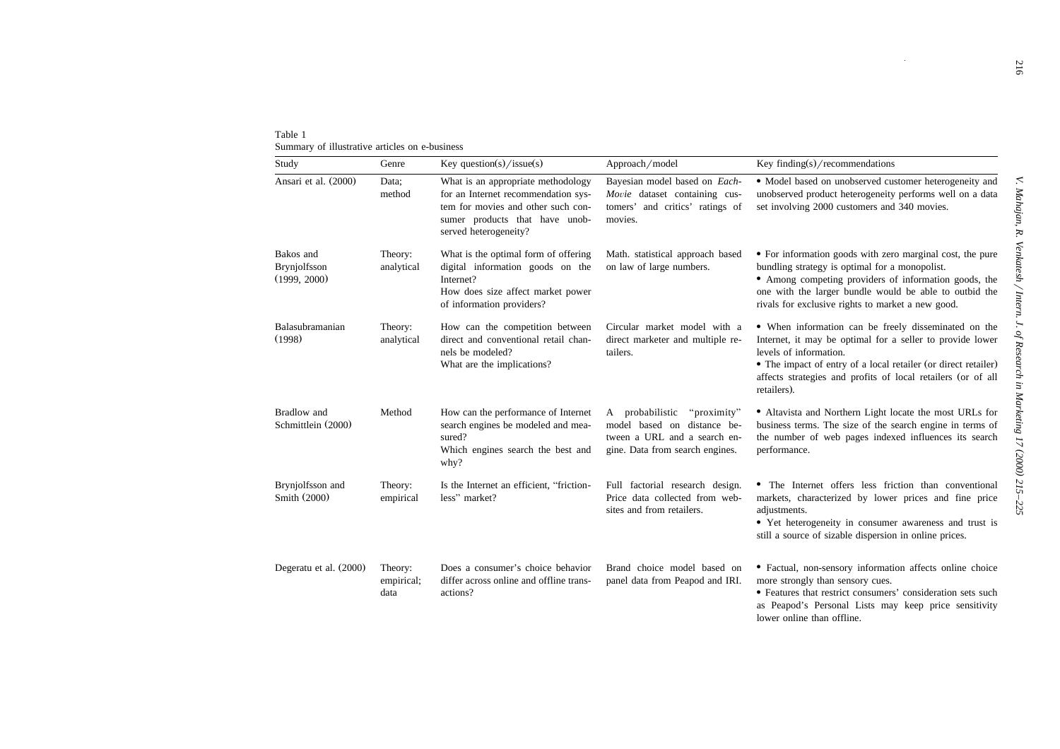| Table 1<br>Summary of illustrative articles on e-business |                               |                                                                                                                                                                            |                                                                                                                                  |                                                                                                                                                                                                                                                                                              |
|-----------------------------------------------------------|-------------------------------|----------------------------------------------------------------------------------------------------------------------------------------------------------------------------|----------------------------------------------------------------------------------------------------------------------------------|----------------------------------------------------------------------------------------------------------------------------------------------------------------------------------------------------------------------------------------------------------------------------------------------|
| Study                                                     | Genre                         | Key question(s)/issue(s)                                                                                                                                                   | Approach/model                                                                                                                   | Key finding(s)/recommendations                                                                                                                                                                                                                                                               |
| Ansari et al. (2000)                                      | Data;<br>method               | What is an appropriate methodology<br>for an Internet recommendation sys-<br>tem for movies and other such con-<br>sumer products that have unob-<br>served heterogeneity? | Bayesian model based on Each-<br>Movie dataset containing cus-<br>tomers' and critics' ratings of<br>movies.                     | · Model based on unobserved customer heterogeneity and<br>unobserved product heterogeneity performs well on a data<br>set involving 2000 customers and 340 movies.                                                                                                                           |
| Bakos and<br>Brynjolfsson<br>(1999, 2000)                 | Theory:<br>analytical         | What is the optimal form of offering<br>digital information goods on the<br>Internet?<br>How does size affect market power<br>of information providers?                    | Math. statistical approach based<br>on law of large numbers.                                                                     | • For information goods with zero marginal cost, the pure<br>bundling strategy is optimal for a monopolist.<br>• Among competing providers of information goods, the<br>one with the larger bundle would be able to outbid the<br>rivals for exclusive rights to market a new good.          |
| Balasubramanian<br>(1998)                                 | Theory:<br>analytical         | How can the competition between<br>direct and conventional retail chan-<br>nels be modeled?<br>What are the implications?                                                  | Circular market model with a<br>direct marketer and multiple re-<br>tailers.                                                     | • When information can be freely disseminated on the<br>Internet, it may be optimal for a seller to provide lower<br>levels of information.<br>• The impact of entry of a local retailer (or direct retailer)<br>affects strategies and profits of local retailers (or of all<br>retailers). |
| Bradlow and<br>Schmittlein (2000)                         | Method                        | How can the performance of Internet<br>search engines be modeled and mea-<br>sured?<br>Which engines search the best and<br>why?                                           | A probabilistic<br>"proximity"<br>model based on distance be-<br>tween a URL and a search en-<br>gine. Data from search engines. | • Altavista and Northern Light locate the most URLs for<br>business terms. The size of the search engine in terms of<br>the number of web pages indexed influences its search<br>performance.                                                                                                |
| Brynjolfsson and<br>Smith (2000)                          | Theory:<br>empirical          | Is the Internet an efficient, "friction-<br>less" market?                                                                                                                  | Full factorial research design.<br>Price data collected from web-<br>sites and from retailers.                                   | • The Internet offers less friction than conventional<br>markets, characterized by lower prices and fine price<br>adjustments.<br>• Yet heterogeneity in consumer awareness and trust is<br>still a source of sizable dispersion in online prices.                                           |
| Degeratu et al. (2000)                                    | Theory:<br>empirical;<br>data | Does a consumer's choice behavior<br>differ across online and offline trans-<br>actions?                                                                                   | Brand choice model based on<br>panel data from Peapod and IRI.                                                                   | · Factual, non-sensory information affects online choice<br>more strongly than sensory cues.<br>• Features that restrict consumers' consideration sets such<br>as Peapod's Personal Lists may keep price sensitivity                                                                         |

lower online than offline.